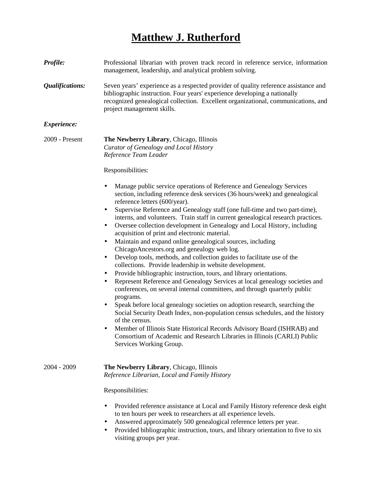## **Matthew J. Rutherford**

| Profile:           | Professional librarian with proven track record in reference service, information<br>management, leadership, and analytical problem solving.                                                                                                                                                                                                                                                                                                                                                                                                                                                                                                                                                                                                                                                                                                                                                                                                                                                                                                                                                                                                                                                                                                                                                                                                                                                                     |
|--------------------|------------------------------------------------------------------------------------------------------------------------------------------------------------------------------------------------------------------------------------------------------------------------------------------------------------------------------------------------------------------------------------------------------------------------------------------------------------------------------------------------------------------------------------------------------------------------------------------------------------------------------------------------------------------------------------------------------------------------------------------------------------------------------------------------------------------------------------------------------------------------------------------------------------------------------------------------------------------------------------------------------------------------------------------------------------------------------------------------------------------------------------------------------------------------------------------------------------------------------------------------------------------------------------------------------------------------------------------------------------------------------------------------------------------|
| Qualifications:    | Seven years' experience as a respected provider of quality reference assistance and<br>bibliographic instruction. Four years' experience developing a nationally<br>recognized genealogical collection. Excellent organizational, communications, and<br>project management skills.                                                                                                                                                                                                                                                                                                                                                                                                                                                                                                                                                                                                                                                                                                                                                                                                                                                                                                                                                                                                                                                                                                                              |
| <i>Experience:</i> |                                                                                                                                                                                                                                                                                                                                                                                                                                                                                                                                                                                                                                                                                                                                                                                                                                                                                                                                                                                                                                                                                                                                                                                                                                                                                                                                                                                                                  |
| 2009 - Present     | The Newberry Library, Chicago, Illinois<br>Curator of Genealogy and Local History<br>Reference Team Leader                                                                                                                                                                                                                                                                                                                                                                                                                                                                                                                                                                                                                                                                                                                                                                                                                                                                                                                                                                                                                                                                                                                                                                                                                                                                                                       |
|                    | Responsibilities:                                                                                                                                                                                                                                                                                                                                                                                                                                                                                                                                                                                                                                                                                                                                                                                                                                                                                                                                                                                                                                                                                                                                                                                                                                                                                                                                                                                                |
|                    | Manage public service operations of Reference and Genealogy Services<br>٠<br>section, including reference desk services (36 hours/week) and genealogical<br>reference letters (600/year).<br>Supervise Reference and Genealogy staff (one full-time and two part-time),<br>٠<br>interns, and volunteers. Train staff in current genealogical research practices.<br>Oversee collection development in Genealogy and Local History, including<br>٠<br>acquisition of print and electronic material.<br>Maintain and expand online genealogical sources, including<br>٠<br>ChicagoAncestors.org and genealogy web log.<br>Develop tools, methods, and collection guides to facilitate use of the<br>$\bullet$<br>collections. Provide leadership in website development.<br>Provide bibliographic instruction, tours, and library orientations.<br>٠<br>Represent Reference and Genealogy Services at local genealogy societies and<br>٠<br>conferences, on several internal committees, and through quarterly public<br>programs.<br>Speak before local genealogy societies on adoption research, searching the<br>$\bullet$<br>Social Security Death Index, non-population census schedules, and the history<br>of the census.<br>Member of Illinois State Historical Records Advisory Board (ISHRAB) and<br>Consortium of Academic and Research Libraries in Illinois (CARLI) Public<br>Services Working Group. |
| $2004 - 2009$      | The Newberry Library, Chicago, Illinois<br>Reference Librarian, Local and Family History                                                                                                                                                                                                                                                                                                                                                                                                                                                                                                                                                                                                                                                                                                                                                                                                                                                                                                                                                                                                                                                                                                                                                                                                                                                                                                                         |
|                    | Responsibilities:                                                                                                                                                                                                                                                                                                                                                                                                                                                                                                                                                                                                                                                                                                                                                                                                                                                                                                                                                                                                                                                                                                                                                                                                                                                                                                                                                                                                |
|                    | Provided reference assistance at Local and Family History reference desk eight<br>to ten hours per week to researchers at all experience levels.<br>Answered approximately 500 genealogical reference letters per year.<br>Provided bibliographic instruction tours and library orientation to five to six                                                                                                                                                                                                                                                                                                                                                                                                                                                                                                                                                                                                                                                                                                                                                                                                                                                                                                                                                                                                                                                                                                       |

• Provided bibliographic instruction, tours, and library orientation to five to six visiting groups per year.